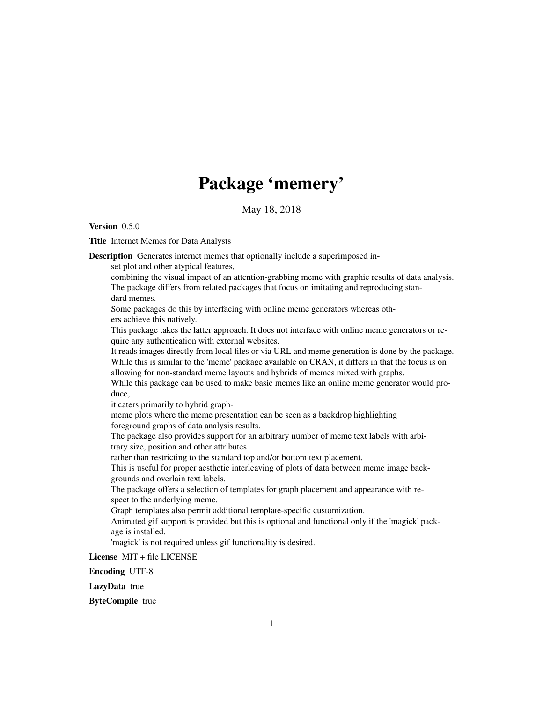## Package 'memery'

May 18, 2018

Version 0.5.0

Title Internet Memes for Data Analysts

Description Generates internet memes that optionally include a superimposed in-

set plot and other atypical features,

combining the visual impact of an attention-grabbing meme with graphic results of data analysis. The package differs from related packages that focus on imitating and reproducing standard memes.

Some packages do this by interfacing with online meme generators whereas others achieve this natively.

This package takes the latter approach. It does not interface with online meme generators or require any authentication with external websites.

It reads images directly from local files or via URL and meme generation is done by the package. While this is similar to the 'meme' package available on CRAN, it differs in that the focus is on allowing for non-standard meme layouts and hybrids of memes mixed with graphs.

While this package can be used to make basic memes like an online meme generator would produce,

it caters primarily to hybrid graph-

meme plots where the meme presentation can be seen as a backdrop highlighting foreground graphs of data analysis results.

The package also provides support for an arbitrary number of meme text labels with arbitrary size, position and other attributes

rather than restricting to the standard top and/or bottom text placement.

This is useful for proper aesthetic interleaving of plots of data between meme image backgrounds and overlain text labels.

The package offers a selection of templates for graph placement and appearance with respect to the underlying meme.

Graph templates also permit additional template-specific customization.

Animated gif support is provided but this is optional and functional only if the 'magick' package is installed.

'magick' is not required unless gif functionality is desired.

License MIT + file LICENSE

Encoding UTF-8

LazyData true

ByteCompile true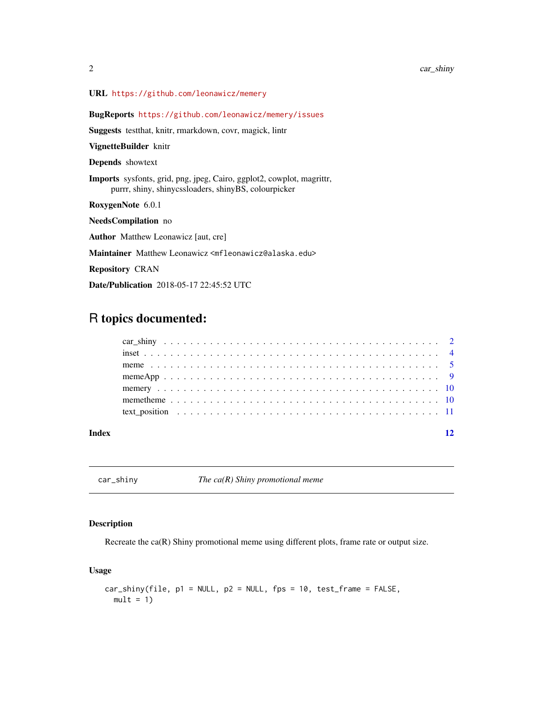#### <span id="page-1-0"></span>URL <https://github.com/leonawicz/memery>

BugReports <https://github.com/leonawicz/memery/issues>

Suggests testthat, knitr, rmarkdown, covr, magick, lintr

VignetteBuilder knitr

Depends showtext

Imports sysfonts, grid, png, jpeg, Cairo, ggplot2, cowplot, magrittr, purrr, shiny, shinycssloaders, shinyBS, colourpicker

RoxygenNote 6.0.1

NeedsCompilation no

Author Matthew Leonawicz [aut, cre]

Maintainer Matthew Leonawicz <mfleonawicz@alaska.edu>

Repository CRAN

Date/Publication 2018-05-17 22:45:52 UTC

### R topics documented:

| Index |  |
|-------|--|
|       |  |
|       |  |
|       |  |
|       |  |
|       |  |
|       |  |
|       |  |

car\_shiny *The ca(R) Shiny promotional meme*

#### Description

Recreate the ca(R) Shiny promotional meme using different plots, frame rate or output size.

#### Usage

```
car_shiny(file, p1 = NULL, p2 = NULL, fps = 10, test_frame = FALSE,
 mult = 1)
```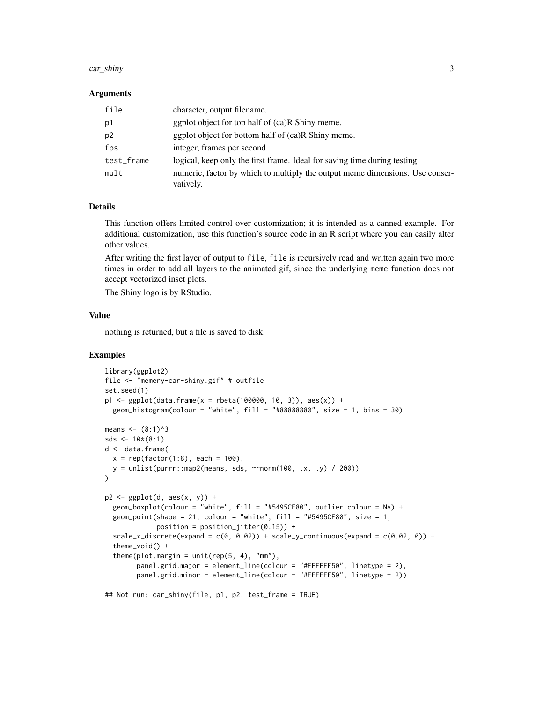#### car\_shiny 3

#### Arguments

| file           | character, output filename.                                                               |
|----------------|-------------------------------------------------------------------------------------------|
| p1             | ggplot object for top half of (ca)R Shiny meme.                                           |
| p <sub>2</sub> | ggplot object for bottom half of (ca)R Shiny meme.                                        |
| fps            | integer, frames per second.                                                               |
| test_frame     | logical, keep only the first frame. Ideal for saving time during testing.                 |
| mult           | numeric, factor by which to multiply the output meme dimensions. Use conser-<br>vatively. |

#### Details

This function offers limited control over customization; it is intended as a canned example. For additional customization, use this function's source code in an R script where you can easily alter other values.

After writing the first layer of output to file, file is recursively read and written again two more times in order to add all layers to the animated gif, since the underlying meme function does not accept vectorized inset plots.

The Shiny logo is by RStudio.

#### Value

nothing is returned, but a file is saved to disk.

#### Examples

```
library(ggplot2)
file <- "memery-car-shiny.gif" # outfile
set.seed(1)
p1 \leq - ggplot(data.frame(x = rbeta(100000, 10, 3)), aes(x)) +
 geom_histogram(colour = "white", fill = "#88888880", size = 1, bins = 30)
means <- (8:1)^3
sds <-10*(8:1)d <- data.frame(
 x = rep(factor(1:8), each = 100),y = \text{unlist}(\text{purr}: \text{map2}(\text{means}, \text{ sds}, \text{ "rnorm}(100, \text{ .x}, \text{ .y}) / 200)))
p2 \leftarrow ggplot(d, aes(x, y)) +geom_boxplot(colour = "white", fill = "#5495CF80", outlier.colour = NA) +
 geom_point(shape = 21, colour = "white", fill = "#5495CF80", size = 1,
             position = position_jitter(0.15) +
 scale_x_discrete(expand = c(0, 0.02)) + scale_y_continuous(expand = c(0.02, 0)) +theme_void() +
 theme(plot.margin = unit(rep(5, 4), "mm"),
        panel.grid.major = element_line(colour = "#FFFFFF50", linetype = 2),
        panel.grid.minor = element_line(colour = "#FFFFFF50", linetype = 2))
## Not run: car_shiny(file, p1, p2, test_frame = TRUE)
```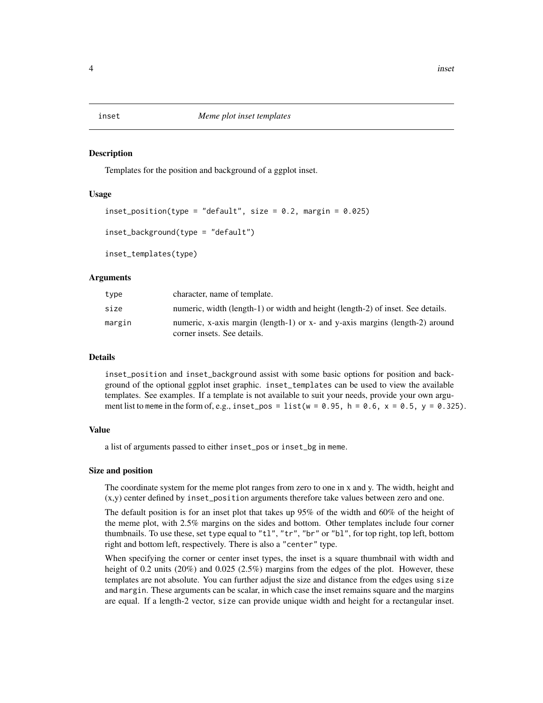<span id="page-3-0"></span>

#### Description

Templates for the position and background of a ggplot inset.

#### Usage

```
inset_position(type = "default", size = 0.2, margin = 0.025)
```
inset\_background(type = "default")

inset\_templates(type)

#### Arguments

| type   | character, name of template.                                                                                |
|--------|-------------------------------------------------------------------------------------------------------------|
| size   | numeric, width (length-1) or width and height (length-2) of inset. See details.                             |
| margin | numeric, x-axis margin (length-1) or x- and y-axis margins (length-2) around<br>corner insets. See details. |

#### Details

inset\_position and inset\_background assist with some basic options for position and background of the optional ggplot inset graphic. inset\_templates can be used to view the available templates. See examples. If a template is not available to suit your needs, provide your own argument list to meme in the form of, e.g., inset\_pos = list ( $w = 0.95$ , h = 0.6, x = 0.5, y = 0.325).

#### Value

a list of arguments passed to either inset\_pos or inset\_bg in meme.

#### Size and position

The coordinate system for the meme plot ranges from zero to one in x and y. The width, height and (x,y) center defined by inset\_position arguments therefore take values between zero and one.

The default position is for an inset plot that takes up 95% of the width and 60% of the height of the meme plot, with 2.5% margins on the sides and bottom. Other templates include four corner thumbnails. To use these, set type equal to "tl", "tr", "br" or "bl", for top right, top left, bottom right and bottom left, respectively. There is also a "center" type.

When specifying the corner or center inset types, the inset is a square thumbnail with width and height of 0.2 units (20%) and 0.025 (2.5%) margins from the edges of the plot. However, these templates are not absolute. You can further adjust the size and distance from the edges using size and margin. These arguments can be scalar, in which case the inset remains square and the margins are equal. If a length-2 vector, size can provide unique width and height for a rectangular inset.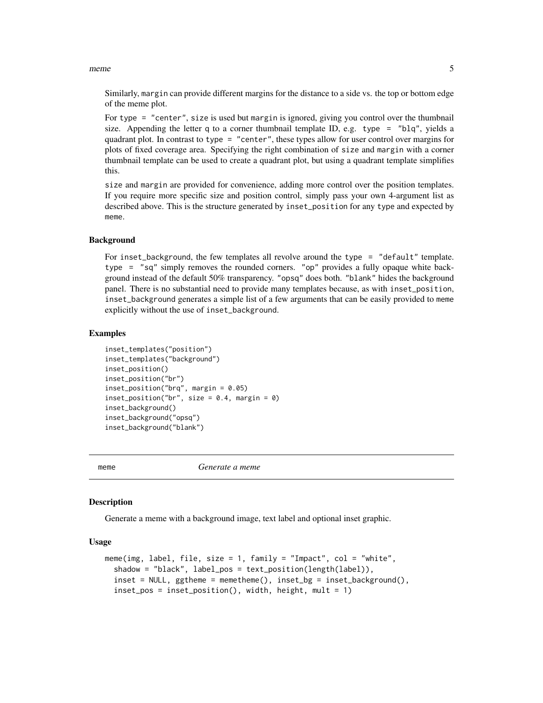#### <span id="page-4-0"></span>meme 5

Similarly, margin can provide different margins for the distance to a side vs. the top or bottom edge of the meme plot.

For type = "center", size is used but margin is ignored, giving you control over the thumbnail size. Appending the letter q to a corner thumbnail template ID, e.g. type  $=$  "blq", yields a quadrant plot. In contrast to type = "center", these types allow for user control over margins for plots of fixed coverage area. Specifying the right combination of size and margin with a corner thumbnail template can be used to create a quadrant plot, but using a quadrant template simplifies this.

size and margin are provided for convenience, adding more control over the position templates. If you require more specific size and position control, simply pass your own 4-argument list as described above. This is the structure generated by inset\_position for any type and expected by meme.

#### Background

For inset\_background, the few templates all revolve around the type = "default" template. type = "sq" simply removes the rounded corners. "op" provides a fully opaque white background instead of the default 50% transparency. "opsq" does both. "blank" hides the background panel. There is no substantial need to provide many templates because, as with inset\_position, inset\_background generates a simple list of a few arguments that can be easily provided to meme explicitly without the use of inset\_background.

#### Examples

```
inset_templates("position")
inset_templates("background")
inset_position()
inset_position("br")
insert\_position("brq", margin = 0.05)insert\_position("br", size = 0.4, margin = 0)inset_background()
inset_background("opsq")
inset_background("blank")
```
meme *Generate a meme*

#### **Description**

Generate a meme with a background image, text label and optional inset graphic.

#### Usage

```
meme(img, label, file, size = 1, family = "Impact", col = "white",shadow = "black", label_pos = text_position(length(label)),
  inset = NULL, ggtheme = memetheme(), inset_bg = inset_background(),
  inset_pos = inset_position(), width, height, mult = 1)
```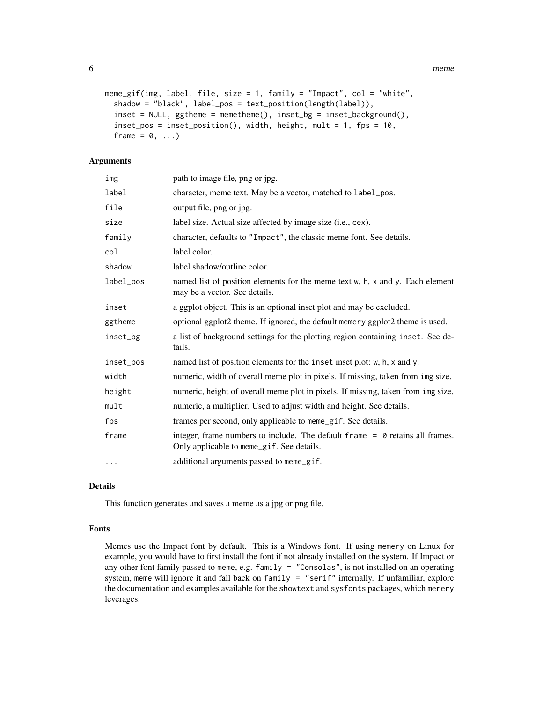6 memetrization of the contract of the contract of the contract of the contract of the contract of the contract of the contract of the contract of the contract of the contract of the contract of the contract of the contrac

```
meme_gif(img, label, file, size = 1, family = "Impact", col = "white",
  shadow = "black", label_pos = text_position(length(label)),
  inset = NULL, ggtheme = memetheme(), inset_b = inset_b background(),
  inset_pos = inset_position(), width, height, mult = 1, fps = 10,
  frame = 0, \ldots)
```
#### Arguments

| img       | path to image file, png or jpg.                                                                                             |
|-----------|-----------------------------------------------------------------------------------------------------------------------------|
| label     | character, meme text. May be a vector, matched to label_pos.                                                                |
| file      | output file, png or jpg.                                                                                                    |
| size      | label size. Actual size affected by image size (i.e., cex).                                                                 |
| family    | character, defaults to "Impact", the classic meme font. See details.                                                        |
| col       | label color.                                                                                                                |
| shadow    | label shadow/outline color.                                                                                                 |
| label_pos | named list of position elements for the meme text w, h, x and y. Each element<br>may be a vector. See details.              |
| inset     | a ggplot object. This is an optional inset plot and may be excluded.                                                        |
| ggtheme   | optional ggplot2 theme. If ignored, the default memery ggplot2 theme is used.                                               |
| inset_bg  | a list of background settings for the plotting region containing inset. See de-<br>tails.                                   |
| inset_pos | named list of position elements for the inset inset plot: w, h, x and y.                                                    |
| width     | numeric, width of overall meme plot in pixels. If missing, taken from img size.                                             |
| height    | numeric, height of overall meme plot in pixels. If missing, taken from img size.                                            |
| mult      | numeric, a multiplier. Used to adjust width and height. See details.                                                        |
| fps       | frames per second, only applicable to meme_gif. See details.                                                                |
| frame     | integer, frame numbers to include. The default frame $= 0$ retains all frames.<br>Only applicable to meme_gif. See details. |
| $\ldots$  | additional arguments passed to meme_gif.                                                                                    |

#### Details

This function generates and saves a meme as a jpg or png file.

#### Fonts

Memes use the Impact font by default. This is a Windows font. If using memery on Linux for example, you would have to first install the font if not already installed on the system. If Impact or any other font family passed to meme, e.g. family = "Consolas", is not installed on an operating system, meme will ignore it and fall back on family  $=$  "serif" internally. If unfamiliar, explore the documentation and examples available for the showtext and sysfonts packages, which merery leverages.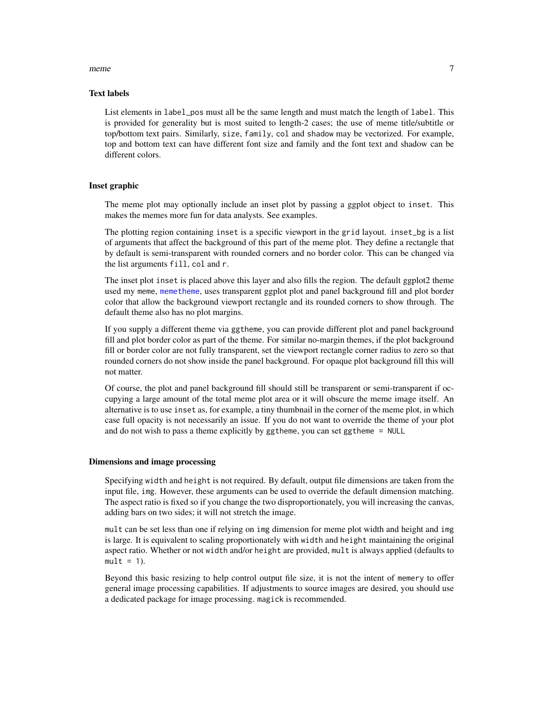#### <span id="page-6-0"></span>meme 7

#### Text labels

List elements in label\_pos must all be the same length and must match the length of label. This is provided for generality but is most suited to length-2 cases; the use of meme title/subtitle or top/bottom text pairs. Similarly, size, family, col and shadow may be vectorized. For example, top and bottom text can have different font size and family and the font text and shadow can be different colors.

#### Inset graphic

The meme plot may optionally include an inset plot by passing a ggplot object to inset. This makes the memes more fun for data analysts. See examples.

The plotting region containing inset is a specific viewport in the grid layout. inset\_bg is a list of arguments that affect the background of this part of the meme plot. They define a rectangle that by default is semi-transparent with rounded corners and no border color. This can be changed via the list arguments fill, col and r.

The inset plot inset is placed above this layer and also fills the region. The default ggplot2 theme used my meme, [memetheme](#page-9-1), uses transparent ggplot plot and panel background fill and plot border color that allow the background viewport rectangle and its rounded corners to show through. The default theme also has no plot margins.

If you supply a different theme via ggtheme, you can provide different plot and panel background fill and plot border color as part of the theme. For similar no-margin themes, if the plot background fill or border color are not fully transparent, set the viewport rectangle corner radius to zero so that rounded corners do not show inside the panel background. For opaque plot background fill this will not matter.

Of course, the plot and panel background fill should still be transparent or semi-transparent if occupying a large amount of the total meme plot area or it will obscure the meme image itself. An alternative is to use inset as, for example, a tiny thumbnail in the corner of the meme plot, in which case full opacity is not necessarily an issue. If you do not want to override the theme of your plot and do not wish to pass a theme explicitly by ggtheme, you can set ggtheme = NULL

#### Dimensions and image processing

Specifying width and height is not required. By default, output file dimensions are taken from the input file, img. However, these arguments can be used to override the default dimension matching. The aspect ratio is fixed so if you change the two disproportionately, you will increasing the canvas, adding bars on two sides; it will not stretch the image.

mult can be set less than one if relying on img dimension for meme plot width and height and img is large. It is equivalent to scaling proportionately with width and height maintaining the original aspect ratio. Whether or not width and/or height are provided, mult is always applied (defaults to  $mult = 1$ ).

Beyond this basic resizing to help control output file size, it is not the intent of memery to offer general image processing capabilities. If adjustments to source images are desired, you should use a dedicated package for image processing. magick is recommended.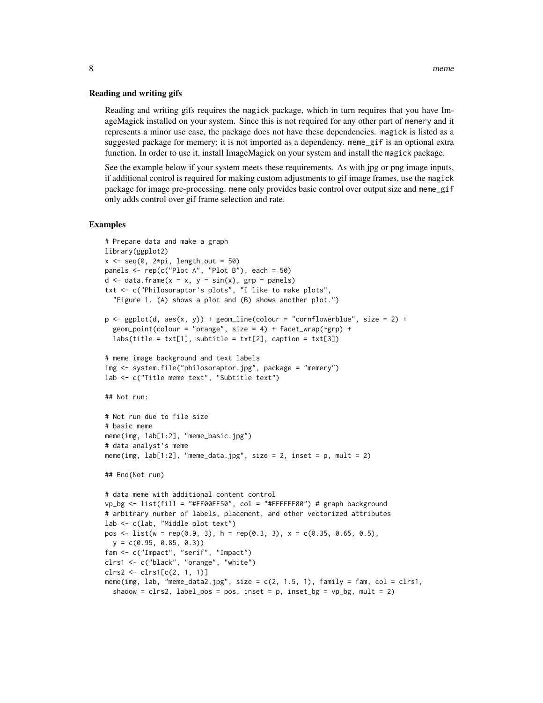#### Reading and writing gifs

Reading and writing gifs requires the magick package, which in turn requires that you have ImageMagick installed on your system. Since this is not required for any other part of memery and it represents a minor use case, the package does not have these dependencies. magick is listed as a suggested package for memery; it is not imported as a dependency. meme\_gif is an optional extra function. In order to use it, install ImageMagick on your system and install the magick package.

See the example below if your system meets these requirements. As with jpg or png image inputs, if additional control is required for making custom adjustments to gif image frames, use the magick package for image pre-processing. meme only provides basic control over output size and meme\_gif only adds control over gif frame selection and rate.

#### Examples

```
# Prepare data and make a graph
library(ggplot2)
x \leq -\text{seq}(0, 2*pi, length.out = 50)panels \leq rep(c("Plot A", "Plot B"), each = 50)
d \leq data.frame(x = x, y = sin(x), grp = panels)
txt <- c("Philosoraptor's plots", "I like to make plots",
  "Figure 1. (A) shows a plot and (B) shows another plot.")
p \leftarrow \text{ggplot}(d, \text{aes}(x, y)) + \text{geom\_line}(color = "cornflowerblue", \text{ size} = 2) +geom\_point(colour = "orange", size = 4) + face\_wrap(\neg grp) +labs(title = txt[1], subtitle = txt[2], caption = txt[3])# meme image background and text labels
img <- system.file("philosoraptor.jpg", package = "memery")
lab <- c("Title meme text", "Subtitle text")
## Not run:
# Not run due to file size
# basic meme
meme(img, lab[1:2], "meme_basic.jpg")
# data analyst's meme
meme(img, lab[1:2], "meme_data.jpg", size = 2, inset = p, mult = 2)
## End(Not run)
# data meme with additional content control
vp_\text{p} <- list(fill = "#FF00FF50", col = "#FFFFFF80") # graph background
# arbitrary number of labels, placement, and other vectorized attributes
lab <- c(lab, "Middle plot text")
pos \le - list(w = rep(0.9, 3), h = rep(0.3, 3), x = c(0.35, 0.65, 0.5),
  y = c(0.95, 0.85, 0.3)fam <- c("Impact", "serif", "Impact")
clrs1 <- c("black", "orange", "white")
clrs2 <- clrs1[c(2, 1, 1)]
meme(img, lab, "meme_data2.jpg", size = c(2, 1.5, 1), family = fam, col = clrs1,
  shadow = clrs2, label_pos = pos, inset = p, inset_bg = vp_bg, mult = 2)
```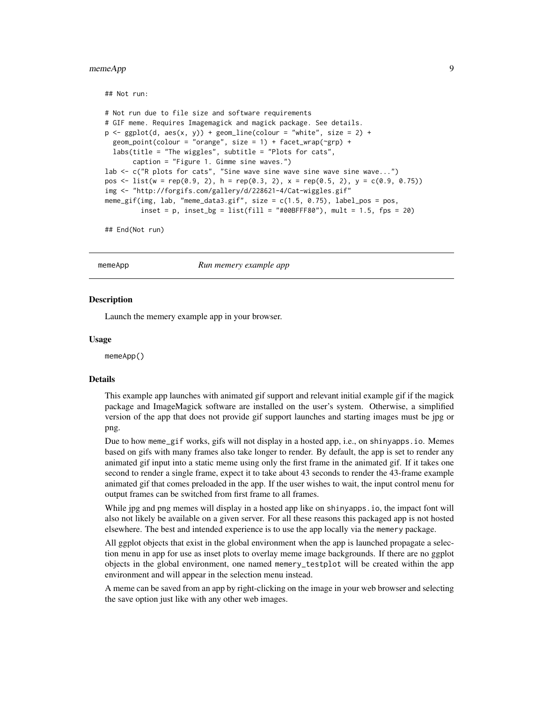#### <span id="page-8-0"></span>memeApp 9

```
## Not run:
```

```
# Not run due to file size and software requirements
# GIF meme. Requires Imagemagick and magick package. See details.
p \leftarrow \text{ggplot}(d, \text{aes}(x, y)) + \text{geom\_line}(color = "white", \text{ size} = 2) +geom\_point(colour = "orange", size = 1) + face\_wrap(\neg grp) +labs(title = "The wiggles", subtitle = "Plots for cats",
       caption = "Figure 1. Gimme sine waves.")
lab <- c("R plots for cats", "Sine wave sine wave sine wave sine wave...")
pos <- list(w = rep(0.9, 2), h = rep(0.3, 2), x = rep(0.5, 2), y = c(0.9, 0.75))
img <- "http://forgifs.com/gallery/d/228621-4/Cat-wiggles.gif"
meme_gif(img, lab, "meme_data3.gif", size = c(1.5, 0.75), label_pos = pos,
         inset = p, inset_bg = list(fill = "#00BFFF80"), mult = 1.5, fps = 20)
```
## End(Not run)

memeApp *Run memery example app*

#### Description

Launch the memery example app in your browser.

#### Usage

memeApp()

#### Details

This example app launches with animated gif support and relevant initial example gif if the magick package and ImageMagick software are installed on the user's system. Otherwise, a simplified version of the app that does not provide gif support launches and starting images must be jpg or png.

Due to how meme\_gif works, gifs will not display in a hosted app, i.e., on shinyapps.io. Memes based on gifs with many frames also take longer to render. By default, the app is set to render any animated gif input into a static meme using only the first frame in the animated gif. If it takes one second to render a single frame, expect it to take about 43 seconds to render the 43-frame example animated gif that comes preloaded in the app. If the user wishes to wait, the input control menu for output frames can be switched from first frame to all frames.

While jpg and png memes will display in a hosted app like on shinyapps. io, the impact font will also not likely be available on a given server. For all these reasons this packaged app is not hosted elsewhere. The best and intended experience is to use the app locally via the memery package.

All ggplot objects that exist in the global environment when the app is launched propagate a selection menu in app for use as inset plots to overlay meme image backgrounds. If there are no ggplot objects in the global environment, one named memery\_testplot will be created within the app environment and will appear in the selection menu instead.

A meme can be saved from an app by right-clicking on the image in your web browser and selecting the save option just like with any other web images.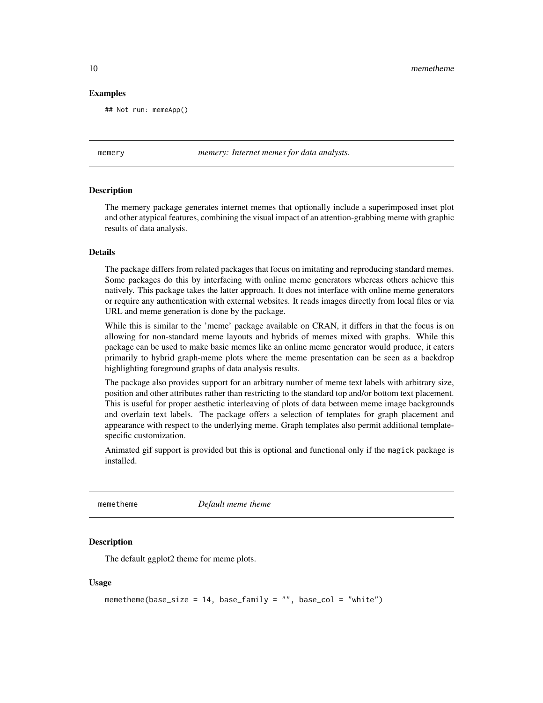<span id="page-9-0"></span>10 memetheme

#### Examples

## Not run: memeApp()

memery *memery: Internet memes for data analysts.*

#### Description

The memery package generates internet memes that optionally include a superimposed inset plot and other atypical features, combining the visual impact of an attention-grabbing meme with graphic results of data analysis.

#### Details

The package differs from related packages that focus on imitating and reproducing standard memes. Some packages do this by interfacing with online meme generators whereas others achieve this natively. This package takes the latter approach. It does not interface with online meme generators or require any authentication with external websites. It reads images directly from local files or via URL and meme generation is done by the package.

While this is similar to the 'meme' package available on CRAN, it differs in that the focus is on allowing for non-standard meme layouts and hybrids of memes mixed with graphs. While this package can be used to make basic memes like an online meme generator would produce, it caters primarily to hybrid graph-meme plots where the meme presentation can be seen as a backdrop highlighting foreground graphs of data analysis results.

The package also provides support for an arbitrary number of meme text labels with arbitrary size, position and other attributes rather than restricting to the standard top and/or bottom text placement. This is useful for proper aesthetic interleaving of plots of data between meme image backgrounds and overlain text labels. The package offers a selection of templates for graph placement and appearance with respect to the underlying meme. Graph templates also permit additional templatespecific customization.

Animated gif support is provided but this is optional and functional only if the magick package is installed.

<span id="page-9-1"></span>

memetheme *Default meme theme*

#### Description

The default ggplot2 theme for meme plots.

#### Usage

```
memetheme(base_size = 14, base_family = "", base_col = "white")
```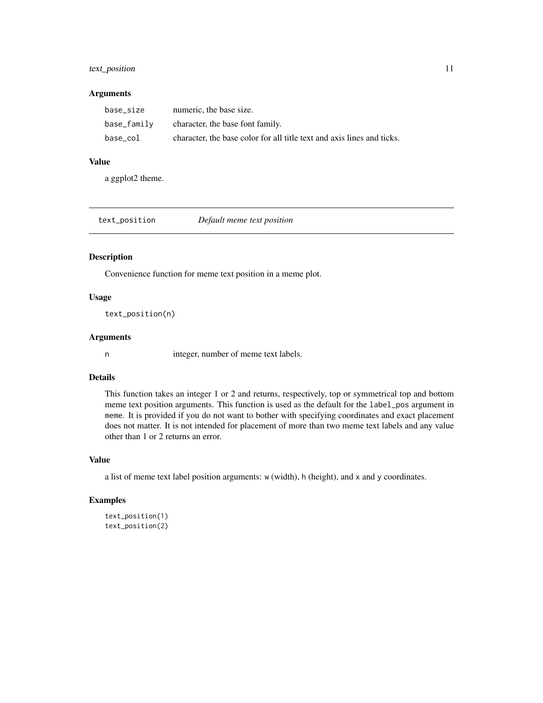#### <span id="page-10-0"></span>text\_position 11

#### Arguments

| base size   | numeric, the base size.                                                |
|-------------|------------------------------------------------------------------------|
| base_family | character, the base font family.                                       |
| base col    | character, the base color for all title text and axis lines and ticks. |

#### Value

a ggplot2 theme.

| text_position | Default meme text position |  |
|---------------|----------------------------|--|
|---------------|----------------------------|--|

#### Description

Convenience function for meme text position in a meme plot.

#### Usage

text\_position(n)

#### Arguments

n integer, number of meme text labels.

#### Details

This function takes an integer 1 or 2 and returns, respectively, top or symmetrical top and bottom meme text position arguments. This function is used as the default for the label\_pos argument in meme. It is provided if you do not want to bother with specifying coordinates and exact placement does not matter. It is not intended for placement of more than two meme text labels and any value other than 1 or 2 returns an error.

#### Value

a list of meme text label position arguments: w (width), h (height), and x and y coordinates.

#### Examples

```
text_position(1)
text_position(2)
```